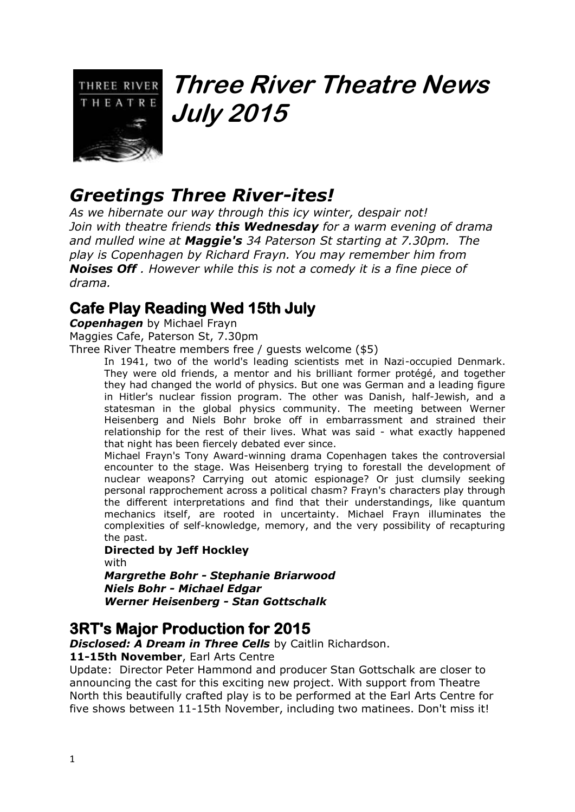

# **Three River Theatre News July 2015**

# *Greetings Three River-ites!*

*As we hibernate our way through this icy winter, despair not! Join with theatre friends this Wednesday for a warm evening of drama and mulled wine at Maggie's 34 Paterson St starting at 7.30pm. The play is Copenhagen by Richard Frayn. You may remember him from Noises Off . However while this is not a comedy it is a fine piece of drama.* 

# **Cafe Play Reading Wed 15th July**

*Copenhagen* by Michael Frayn Maggies Cafe, Paterson St, 7.30pm

Three River Theatre members free / guests welcome (\$5)

In 1941, two of the world's leading scientists met in Nazi-occupied Denmark. They were old friends, a mentor and his brilliant former protégé, and together they had changed the world of physics. But one was German and a leading figure in Hitler's nuclear fission program. The other was Danish, half-Jewish, and a statesman in the global physics community. The meeting between Werner Heisenberg and Niels Bohr broke off in embarrassment and strained their relationship for the rest of their lives. What was said - what exactly happened that night has been fiercely debated ever since.

Michael Frayn's Tony Award-winning drama Copenhagen takes the controversial encounter to the stage. Was Heisenberg trying to forestall the development of nuclear weapons? Carrying out atomic espionage? Or just clumsily seeking personal rapprochement across a political chasm? Frayn's characters play through the different interpretations and find that their understandings, like quantum mechanics itself, are rooted in uncertainty. Michael Frayn illuminates the complexities of self-knowledge, memory, and the very possibility of recapturing the past.

#### **Directed by Jeff Hockley**

with *Margrethe Bohr - Stephanie Briarwood Niels Bohr - Michael Edgar Werner Heisenberg - Stan Gottschalk*

## **3RT's Major Production for 2015**

*Disclosed: A Dream in Three Cells* by Caitlin Richardson.

#### **11-15th November**, Earl Arts Centre

Update: Director Peter Hammond and producer Stan Gottschalk are closer to announcing the cast for this exciting new project. With support from Theatre North this beautifully crafted play is to be performed at the Earl Arts Centre for five shows between 11-15th November, including two matinees. Don't miss it!